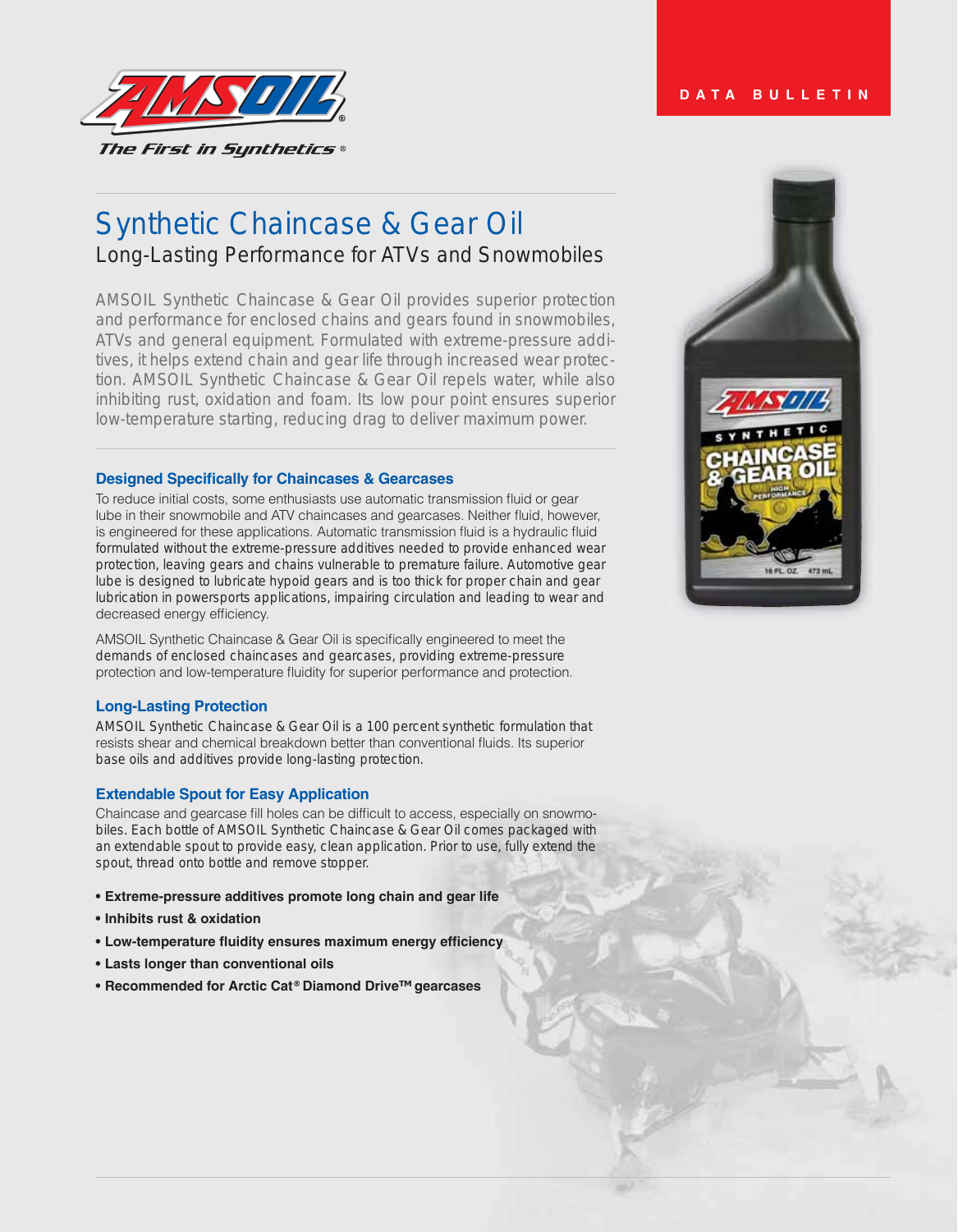

# Synthetic Chaincase & Gear Oil Long-Lasting Performance for ATVs and Snowmobiles

AMSOIL Synthetic Chaincase & Gear Oil provides superior protection and performance for enclosed chains and gears found in snowmobiles, ATVs and general equipment. Formulated with extreme-pressure additives, it helps extend chain and gear life through increased wear protection. AMSOIL Synthetic Chaincase & Gear Oil repels water, while also inhibiting rust, oxidation and foam. Its low pour point ensures superior low-temperature starting, reducing drag to deliver maximum power.

#### **Designed Specifically for Chaincases & Gearcases**

To reduce initial costs, some enthusiasts use automatic transmission fluid or gear lube in their snowmobile and ATV chaincases and gearcases. Neither fluid, however, is engineered for these applications. Automatic transmission fluid is a hydraulic fluid formulated without the extreme-pressure additives needed to provide enhanced wear protection, leaving gears and chains vulnerable to premature failure. Automotive gear lube is designed to lubricate hypoid gears and is too thick for proper chain and gear lubrication in powersports applications, impairing circulation and leading to wear and decreased energy efficiency.

AMSOIL Synthetic Chaincase & Gear Oil is specifically engineered to meet the demands of enclosed chaincases and gearcases, providing extreme-pressure protection and low-temperature fluidity for superior performance and protection.

## **Long-Lasting Protection**

AMSOIL Synthetic Chaincase & Gear Oil is a 100 percent synthetic formulation that resists shear and chemical breakdown better than conventional fluids. Its superior base oils and additives provide long-lasting protection.

## **Extendable Spout for Easy Application**

Chaincase and gearcase fill holes can be difficult to access, especially on snowmobiles. Each bottle of AMSOIL Synthetic Chaincase & Gear Oil comes packaged with an extendable spout to provide easy, clean application. Prior to use, fully extend the spout, thread onto bottle and remove stopper.

- **Extreme-pressure additives promote long chain and gear life**
- **Inhibits rust & oxidation**
- **Low-temperature fluidity ensures maximum energy efficiency**
- **Lasts longer than conventional oils**
- **▶ Recommended for Arctic Cat<sup>®</sup> Diamond Drive<sup>™</sup> gearcases**



## **DATA BULLETIN**